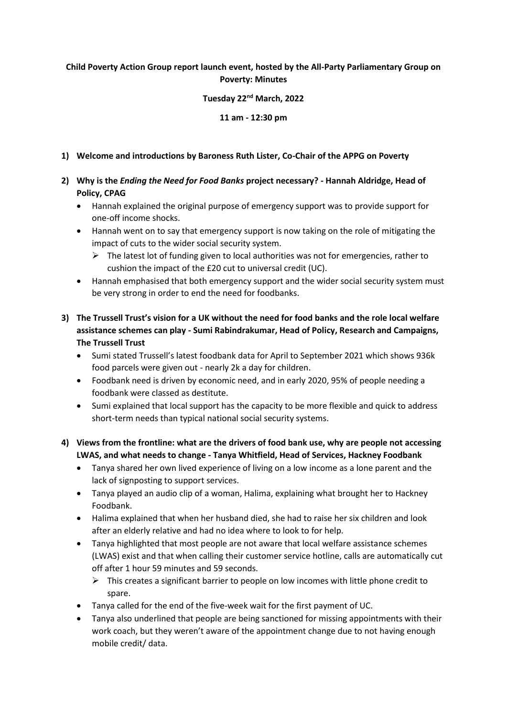## **Child Poverty Action Group report launch event, hosted by the All-Party Parliamentary Group on Poverty: Minutes**

#### **Tuesday 22nd March, 2022**

**11 am - 12:30 pm** 

#### **1) Welcome and introductions by Baroness Ruth Lister, Co-Chair of the APPG on Poverty**

- **2) Why is the** *Ending the Need for Food Banks* **project necessary? - Hannah Aldridge, Head of Policy, CPAG** 
	- Hannah explained the original purpose of emergency support was to provide support for one-off income shocks.
	- Hannah went on to say that emergency support is now taking on the role of mitigating the impact of cuts to the wider social security system.
		- $\triangleright$  The latest lot of funding given to local authorities was not for emergencies, rather to cushion the impact of the £20 cut to universal credit (UC).
	- Hannah emphasised that both emergency support and the wider social security system must be very strong in order to end the need for foodbanks.
- **3) The Trussell Trust's vision for a UK without the need for food banks and the role local welfare assistance schemes can play - Sumi Rabindrakumar, Head of Policy, Research and Campaigns, The Trussell Trust**
	- Sumi stated Trussell's latest foodbank data for April to September 2021 which shows 936k food parcels were given out - nearly 2k a day for children.
	- Foodbank need is driven by economic need, and in early 2020, 95% of people needing a foodbank were classed as destitute.
	- Sumi explained that local support has the capacity to be more flexible and quick to address short-term needs than typical national social security systems.
- **4) Views from the frontline: what are the drivers of food bank use, why are people not accessing LWAS, and what needs to change - Tanya Whitfield, Head of Services, Hackney Foodbank** 
	- Tanya shared her own lived experience of living on a low income as a lone parent and the lack of signposting to support services.
	- Tanya played an audio clip of a woman, Halima, explaining what brought her to Hackney Foodbank.
	- Halima explained that when her husband died, she had to raise her six children and look after an elderly relative and had no idea where to look to for help.
	- Tanya highlighted that most people are not aware that local welfare assistance schemes (LWAS) exist and that when calling their customer service hotline, calls are automatically cut off after 1 hour 59 minutes and 59 seconds.
		- $\triangleright$  This creates a significant barrier to people on low incomes with little phone credit to spare.
	- Tanya called for the end of the five-week wait for the first payment of UC.
	- Tanya also underlined that people are being sanctioned for missing appointments with their work coach, but they weren't aware of the appointment change due to not having enough mobile credit/ data.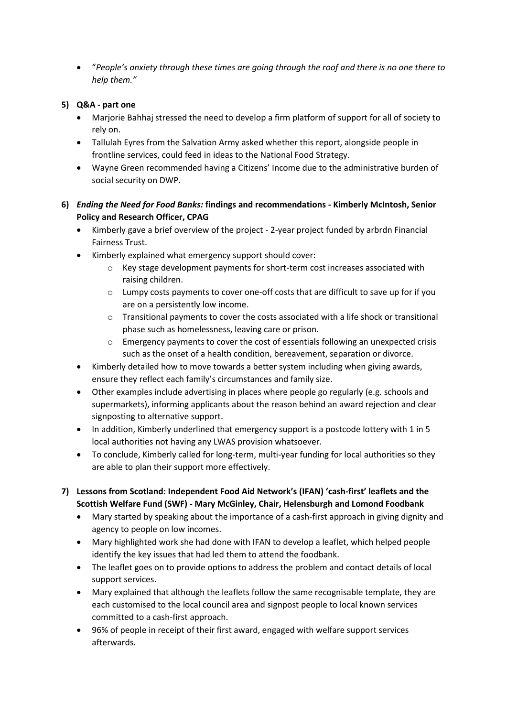"*People's anxiety through these times are going through the roof and there is no one there to help them."* 

#### **5) Q&A - part one**

- Marjorie Bahhaj stressed the need to develop a firm platform of support for all of society to rely on.
- Tallulah Eyres from the Salvation Army asked whether this report, alongside people in frontline services, could feed in ideas to the National Food Strategy.
- Wayne Green recommended having a Citizens' Income due to the administrative burden of social security on DWP.

### **6)** *Ending the Need for Food Banks:* **findings and recommendations - Kimberly McIntosh, Senior Policy and Research Officer, CPAG**

- Kimberly gave a brief overview of the project 2-year project funded by arbrdn Financial Fairness Trust.
- Kimberly explained what emergency support should cover:
	- o Key stage development payments for short-term cost increases associated with raising children.
	- $\circ$  Lumpy costs payments to cover one-off costs that are difficult to save up for if you are on a persistently low income.
	- $\circ$  Transitional payments to cover the costs associated with a life shock or transitional phase such as homelessness, leaving care or prison.
	- $\circ$  Emergency payments to cover the cost of essentials following an unexpected crisis such as the onset of a health condition, bereavement, separation or divorce.
- Kimberly detailed how to move towards a better system including when giving awards, ensure they reflect each family's circumstances and family size.
- Other examples include advertising in places where people go regularly (e.g. schools and supermarkets), informing applicants about the reason behind an award rejection and clear signposting to alternative support.
- In addition, Kimberly underlined that emergency support is a postcode lottery with 1 in 5 local authorities not having any LWAS provision whatsoever.
- To conclude, Kimberly called for long-term, multi-year funding for local authorities so they are able to plan their support more effectively.
- **7) Lessons from Scotland: Independent Food Aid Network's (IFAN) 'cash-first' leaflets and the Scottish Welfare Fund (SWF) - Mary McGinley, Chair, Helensburgh and Lomond Foodbank** 
	- Mary started by speaking about the importance of a cash-first approach in giving dignity and agency to people on low incomes.
	- Mary highlighted work she had done with IFAN to develop a leaflet, which helped people identify the key issues that had led them to attend the foodbank.
	- The leaflet goes on to provide options to address the problem and contact details of local support services.
	- Mary explained that although the leaflets follow the same recognisable template, they are each customised to the local council area and signpost people to local known services committed to a cash-first approach.
	- 96% of people in receipt of their first award, engaged with welfare support services afterwards.